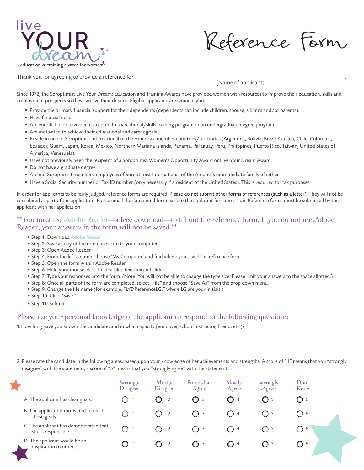

Reference Form

Thank you for agreeing to provide a reference for \_

(Name of applicant)

Since 1972, the Soroptimist Live Your Dream: Education and Training Awards have provided women with resources to improve their education, skills and employment prospects so they can live their dreams. Eligible applicants are women who:

- Provide the primary financial support for their dependents (dependents can include children, spouse, siblings and/or parents).
- Have financial need.
- Are enrolled in or have been accepted to a vocational/skills training program or an undergraduate degree program.
- Are motivated to achieve their educational and career goals.
- Reside in one of Soroptimist International of the Americas' member countries/territories (Argentina, Bolivia, Brazil, Canada, Chile, Colombia, Ecuador, Guam, Japan, Korea, Mexico, Northern Mariana Islands, Panama, Paraguay, Peru, Philippines, Puerto Rico, Taiwan, United States of America, Venezuela).
- Have not previously been the recipient of a Soroptimist Women's Opportunity Award or Live Your Dream Award.
- Do not have a graduate degree.
- Are not Soroptimist members, employees of Soroptimist International of the Americas or immediate family of either.
- Have a Social Security number or Tax ID number (only necessary if a resident of the United States). This is required for tax purposes.

In order for applicants to be fairly judged, reference forms are required. Please do not submit other forms of references (such as a letter). They will not be considered as part of the application. Please email the completed form back to the applicant for submission. Reference forms must be submitted by the applicant with her application.

## \*\*You must use Adobe Reader—a free download—to fill out the reference form. If you do not use Adobe Reader, your answers in the form will not be saved.\*\*

- Step 1: Download Adobe Reader
- Step 2: Save a copy of the reference form to your computer.
- Step 3: Open Adobe Reader
- Step 4: From the left column, choose 'My Computer' and find where you saved the reference form.
- Step 5: Open the form within Adobe Reader.
- Step 6: Hold your mouse over the first blue text box and click.
- Step 7: Type your responses into the form. (Note: You will not be able to change the type size. Please limit your answers to the space allotted.)
- Step 8: Once all parts of the form are completed, select "File" and choose "Save As" from the drop down menu.
- Step 9: Change the file name (for example, "LYDReferenceLG," where LG are your initials.)
- Step 10: Click "Save."
- Step 11: Submit.

## Please use your personal knowledge of the applicant to respond to the following questions:

1. How long have you known the candidate, and in what capacity (employer, school instructor, friend, etc.)?

2. Please rate the candidate in the following areas, based upon your knowledge of her achievements and strengths. A score of "1" means that you "strongly disagree" with the statement; a score of "5" means that you "strongly agree" with the statement.

|                                                               | Strongly<br>Disagree | Mostly<br><b>Disagree</b> | Somewhat<br>Agree | Mostly<br>Agree                         | Strongly<br>Agree | Don't<br>Know                                        |  |
|---------------------------------------------------------------|----------------------|---------------------------|-------------------|-----------------------------------------|-------------------|------------------------------------------------------|--|
| A. The applicant has clear goals.                             |                      | O                         | $\bigcirc$ 3      | $\bigcirc$ 4                            | $\bigcirc$ 5      | Q 6                                                  |  |
| B. The applicant is motivated to reach<br>these goals.        |                      |                           | ()3               | $\begin{array}{ccc} \hline \end{array}$ | . 15              | ()6                                                  |  |
| C. The applicant has demonstrated that<br>she is responsible. |                      | $\overline{2}$<br>( )     | $\bigcirc$ 3      | ( ) 4                                   | $\bigcap$ 5       | $\left( \begin{array}{c} \end{array} \right)$<br>- 6 |  |
| D. The applicant would be an<br>inspiration to others.        |                      | O                         | $\bigcirc$ 3      | $\bigcirc$ 4                            | C) 5              | O 6                                                  |  |